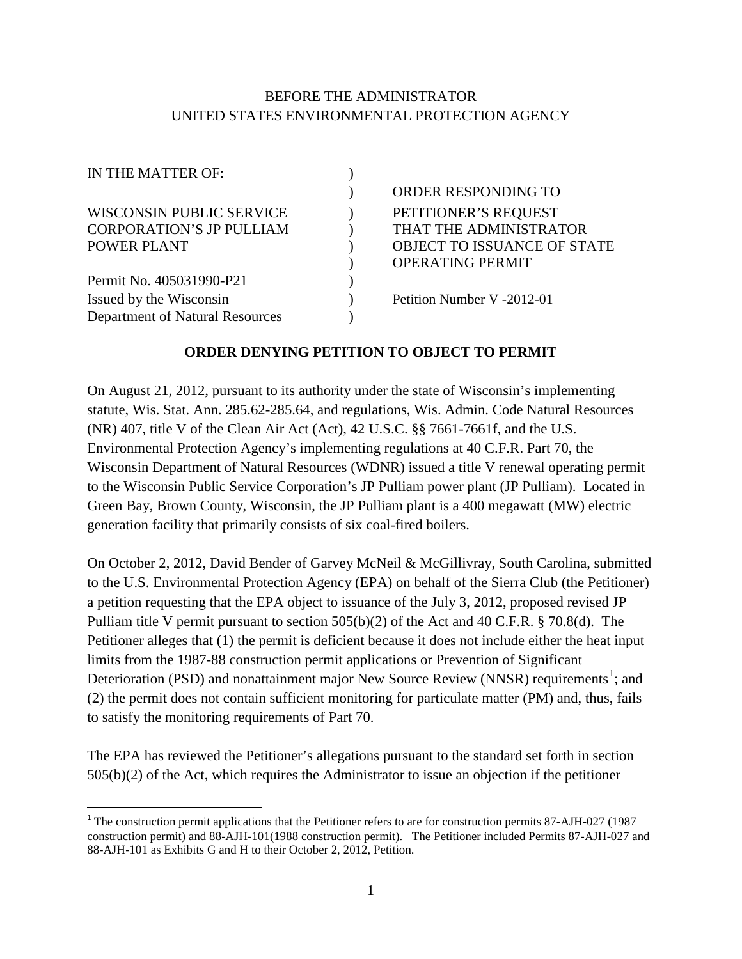# BEFORE THE ADMINISTRATOR UNITED STATES ENVIRONMENTAL PROTECTION AGENCY

| IN THE MATTER OF:               |                                    |
|---------------------------------|------------------------------------|
|                                 | ORDER RESPONDING TO                |
| WISCONSIN PUBLIC SERVICE        | PETITIONER'S REQUEST               |
| <b>CORPORATION'S JP PULLIAM</b> | THAT THE ADMINISTRATOR             |
| POWER PLANT                     | <b>OBJECT TO ISSUANCE OF STATE</b> |
|                                 | <b>OPERATING PERMIT</b>            |
| Permit No. 405031990-P21        |                                    |
| Issued by the Wisconsin         | Petition Number V -2012-01         |
| Department of Natural Resources |                                    |

### **ORDER DENYING PETITION TO OBJECT TO PERMIT**

On August 21, 2012, pursuant to its authority under the state of Wisconsin's implementing statute, Wis. Stat. Ann. 285.62-285.64, and regulations, Wis. Admin. Code Natural Resources (NR) 407, title V of the Clean Air Act (Act), 42 U.S.C. §§ 7661-7661f, and the U.S. Environmental Protection Agency's implementing regulations at 40 C.F.R. Part 70, the Wisconsin Department of Natural Resources (WDNR) issued a title V renewal operating permit to the Wisconsin Public Service Corporation's JP Pulliam power plant (JP Pulliam). Located in Green Bay, Brown County, Wisconsin, the JP Pulliam plant is a 400 megawatt (MW) electric generation facility that primarily consists of six coal-fired boilers.

 Pulliam title V permit pursuant to section 505(b)(2) of the Act and 40 C.F.R. § 70.8(d). The On October 2, 2012, David Bender of Garvey McNeil & McGillivray, South Carolina, submitted to the U.S. Environmental Protection Agency (EPA) on behalf of the Sierra Club (the Petitioner) a petition requesting that the EPA object to issuance of the July 3, 2012, proposed revised JP Petitioner alleges that (1) the permit is deficient because it does not include either the heat input limits from the 1987-88 construction permit applications or Prevention of Significant Deterioration (PSD) and nonattainment major New Source Review (NNSR) requirements<sup>[1](#page-0-0)</sup>; and (2) the permit does not contain sufficient monitoring for particulate matter (PM) and, thus, fails to satisfy the monitoring requirements of Part 70.

 505(b)(2) of the Act, which requires the Administrator to issue an objection if the petitioner The EPA has reviewed the Petitioner's allegations pursuant to the standard set forth in section

<span id="page-0-0"></span> construction permit) and 88-AJH-101(1988 construction permit). The Petitioner included Permits 87-AJH-027 and <sup>1</sup> The construction permit applications that the Petitioner refers to are for construction permits  $87-$ AJH-027 (1987) 88-AJH-101 as Exhibits G and H to their October 2, 2012, Petition.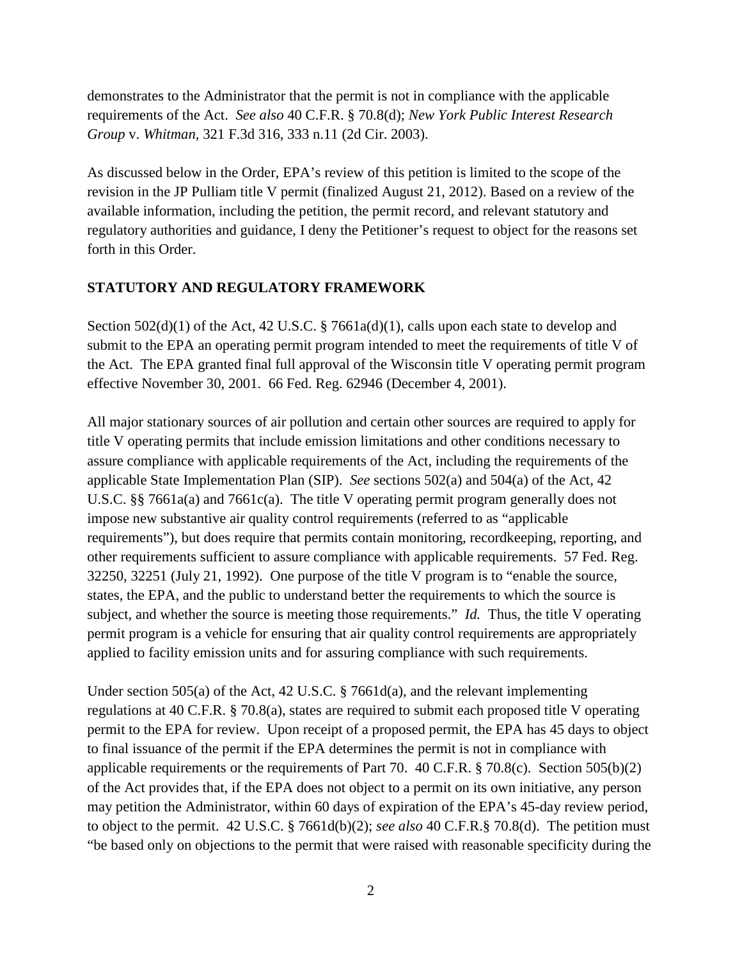requirements of the Act. *See also* 40 C.F.R. § 70.8(d); *New York Public Interest Research*  demonstrates to the Administrator that the permit is not in compliance with the applicable *Group* v. *Whitman,* 321 F.3d 316, 333 n.11 (2d Cir. 2003).

 revision in the JP Pulliam title V permit (finalized August 21, 2012). Based on a review of the regulatory authorities and guidance, I deny the Petitioner's request to object for the reasons set As discussed below in the Order, EPA's review of this petition is limited to the scope of the available information, including the petition, the permit record, and relevant statutory and forth in this Order.

### **STATUTORY AND REGULATORY FRAMEWORK**

Section 502(d)(1) of the Act, 42 U.S.C. § 7661a(d)(1), calls upon each state to develop and submit to the EPA an operating permit program intended to meet the requirements of title V of the Act. The EPA granted final full approval of the Wisconsin title V operating permit program effective November 30, 2001. 66 Fed. Reg. 62946 (December 4, 2001).

 applicable State Implementation Plan (SIP). *See* sections 502(a) and 504(a) of the Act, 42 requirements"), but does require that permits contain monitoring, recordkeeping, reporting, and states, the EPA, and the public to understand better the requirements to which the source is subject, and whether the source is meeting those requirements." *Id.* Thus, the title V operating All major stationary sources of air pollution and certain other sources are required to apply for title V operating permits that include emission limitations and other conditions necessary to assure compliance with applicable requirements of the Act, including the requirements of the U.S.C. §§ 7661a(a) and 7661c(a). The title V operating permit program generally does not impose new substantive air quality control requirements (referred to as "applicable other requirements sufficient to assure compliance with applicable requirements. 57 Fed. Reg. 32250, 32251 (July 21, 1992). One purpose of the title V program is to "enable the source, permit program is a vehicle for ensuring that air quality control requirements are appropriately applied to facility emission units and for assuring compliance with such requirements.

 regulations at 40 C.F.R. § 70.8(a), states are required to submit each proposed title V operating permit to the EPA for review. Upon receipt of a proposed permit, the EPA has 45 days to object applicable requirements or the requirements of Part 70. 40 C.F.R. § 70.8(c). Section 505(b)(2) Under section 505(a) of the Act, 42 U.S.C. § 7661d(a), and the relevant implementing to final issuance of the permit if the EPA determines the permit is not in compliance with of the Act provides that, if the EPA does not object to a permit on its own initiative, any person may petition the Administrator, within 60 days of expiration of the EPA's 45-day review period, to object to the permit. 42 U.S.C. § 7661d(b)(2); *see also* 40 C.F.R.§ 70.8(d). The petition must "be based only on objections to the permit that were raised with reasonable specificity during the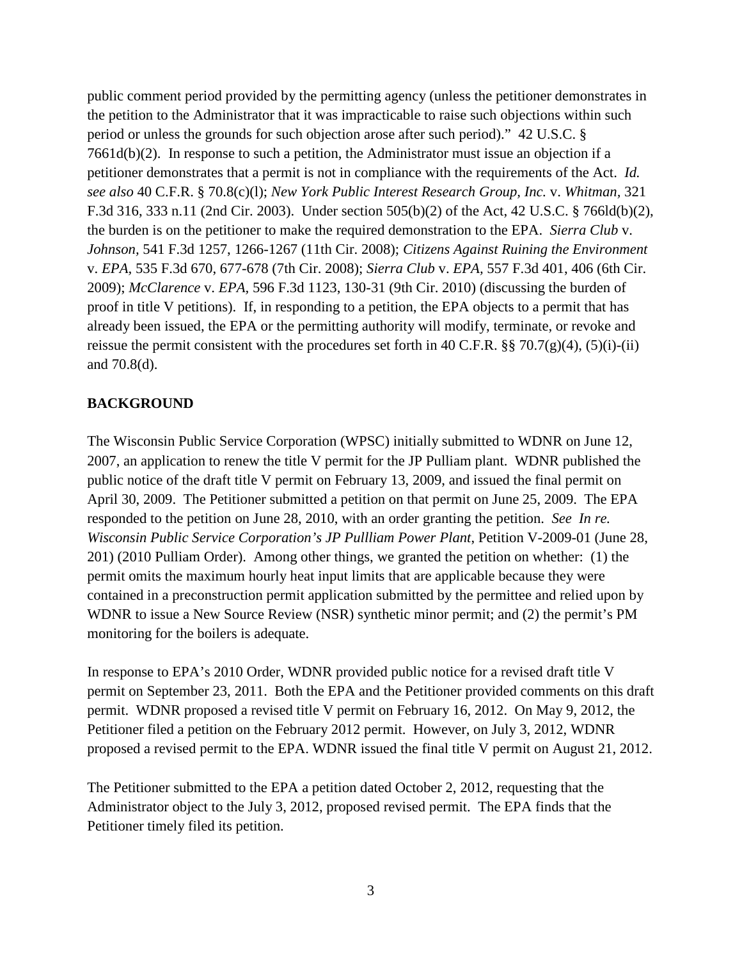public comment period provided by the permitting agency (unless the petitioner demonstrates in petitioner demonstrates that a permit is not in compliance with the requirements of the Act. *Id.*  the burden is on the petitioner to make the required demonstration to the EPA. *Sierra Club* v. *Johnson,* 541 F.3d 1257, 1266-1267 (11th Cir. 2008); *Citizens Against Ruining the Environment*  v. *EPA,* 535 F.3d 670, 677-678 (7th Cir. 2008); *Sierra Club* v. *EPA,* 557 F.3d 401, 406 (6th Cir. already been issued, the EPA or the permitting authority will modify, terminate, or revoke and the petition to the Administrator that it was impracticable to raise such objections within such period or unless the grounds for such objection arose after such period)." 42 U.S.C. § 7661d(b)(2). In response to such a petition, the Administrator must issue an objection if a petitioner demonstrates that a permit is not in compliance with the requirements of the Act. *Id. see also* 40 C.F.R. § 70.8(c)(l); *New York Public Interest Research Group, Inc.* v. *Whitman,* <sup>321</sup> F.3d 316, 333 n.11 (2nd Cir. 2003). Under section 505(b)(2) of the Act, 42 U.S.C. § 766ld(b)(2), 2009); *McClarence* v. *EPA,* 596 F.3d 1123, 130-31 (9th Cir. 2010) (discussing the burden of proof in title V petitions). If, in responding to a petition, the EPA objects to a permit that has reissue the permit consistent with the procedures set forth in 40 C.F.R.  $\S$   $70.7(g)(4)$ ,  $(5)(i)$ -(ii) and 70.8(d).

# **BACKGROUND**

 201) (2010 Pulliam Order). Among other things, we granted the petition on whether: (1) the permit omits the maximum hourly heat input limits that are applicable because they were monitoring for the boilers is adequate. The Wisconsin Public Service Corporation (WPSC) initially submitted to WDNR on June 12, 2007, an application to renew the title V permit for the JP Pulliam plant. WDNR published the public notice of the draft title V permit on February 13, 2009, and issued the final permit on April 30, 2009. The Petitioner submitted a petition on that permit on June 25, 2009. The EPA responded to the petition on June 28, 2010, with an order granting the petition. *See In re. Wisconsin Public Service Corporation's JP Pullliam Power Plant*, Petition V-2009-01 (June 28, contained in a preconstruction permit application submitted by the permittee and relied upon by WDNR to issue a New Source Review (NSR) synthetic minor permit; and (2) the permit's PM

In response to EPA's 2010 Order, WDNR provided public notice for a revised draft title V permit on September 23, 2011. Both the EPA and the Petitioner provided comments on this draft permit. WDNR proposed a revised title V permit on February 16, 2012. On May 9, 2012, the Petitioner filed a petition on the February 2012 permit. However, on July 3, 2012, WDNR proposed a revised permit to the EPA. WDNR issued the final title V permit on August 21, 2012.

 Administrator object to the July 3, 2012, proposed revised permit. The EPA finds that the The Petitioner submitted to the EPA a petition dated October 2, 2012, requesting that the Petitioner timely filed its petition.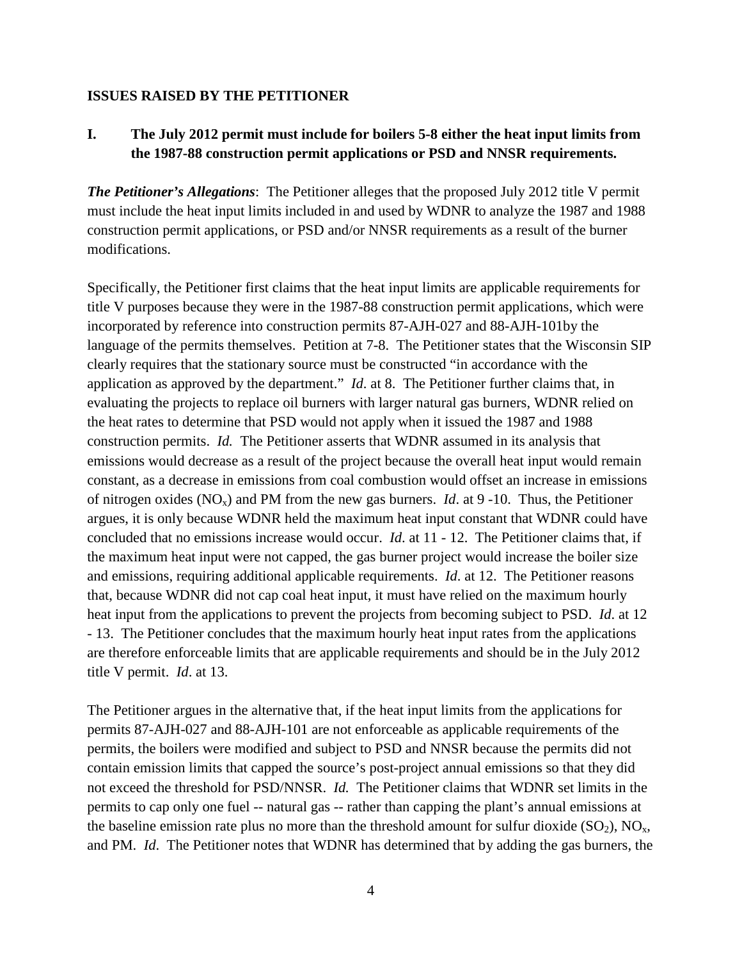#### **ISSUES RAISED BY THE PETITIONER**

# **I. The July 2012 permit must include for boilers 5-8 either the heat input limits from the 1987-88 construction permit applications or PSD and NNSR requirements.**

 *The Petitioner's Allegations*: The Petitioner alleges that the proposed July 2012 title V permit must include the heat input limits included in and used by WDNR to analyze the 1987 and 1988 construction permit applications, or PSD and/or NNSR requirements as a result of the burner modifications.

 incorporated by reference into construction permits 87-AJH-027 and 88-AJH-101by the application as approved by the department." *Id*. at 8. The Petitioner further claims that, in  construction permits. *Id.* The Petitioner asserts that WDNR assumed in its analysis that concluded that no emissions increase would occur. *Id*. at 11 - 12. The Petitioner claims that, if the maximum heat input were not capped, the gas burner project would increase the boiler size and emissions, requiring additional applicable requirements. *Id*. at 12. The Petitioner reasons title V permit. *Id*. at 13. Specifically, the Petitioner first claims that the heat input limits are applicable requirements for title V purposes because they were in the 1987-88 construction permit applications, which were language of the permits themselves. Petition at 7-8. The Petitioner states that the Wisconsin SIP clearly requires that the stationary source must be constructed "in accordance with the evaluating the projects to replace oil burners with larger natural gas burners, WDNR relied on the heat rates to determine that PSD would not apply when it issued the 1987 and 1988 emissions would decrease as a result of the project because the overall heat input would remain constant, as a decrease in emissions from coal combustion would offset an increase in emissions of nitrogen oxides  $(NO_x)$  and PM from the new gas burners. *Id.* at 9 -10. Thus, the Petitioner argues, it is only because WDNR held the maximum heat input constant that WDNR could have that, because WDNR did not cap coal heat input, it must have relied on the maximum hourly heat input from the applications to prevent the projects from becoming subject to PSD. *Id*. at 12 - 13. The Petitioner concludes that the maximum hourly heat input rates from the applications are therefore enforceable limits that are applicable requirements and should be in the July 2012

 permits 87-AJH-027 and 88-AJH-101 are not enforceable as applicable requirements of the not exceed the threshold for PSD/NNSR. *Id.* The Petitioner claims that WDNR set limits in the permits to cap only one fuel -- natural gas -- rather than capping the plant's annual emissions at The Petitioner argues in the alternative that, if the heat input limits from the applications for permits, the boilers were modified and subject to PSD and NNSR because the permits did not contain emission limits that capped the source's post-project annual emissions so that they did the baseline emission rate plus no more than the threshold amount for sulfur dioxide  $(SO_2)$ ,  $NO<sub>x</sub>$ , and PM. *Id*. The Petitioner notes that WDNR has determined that by adding the gas burners, the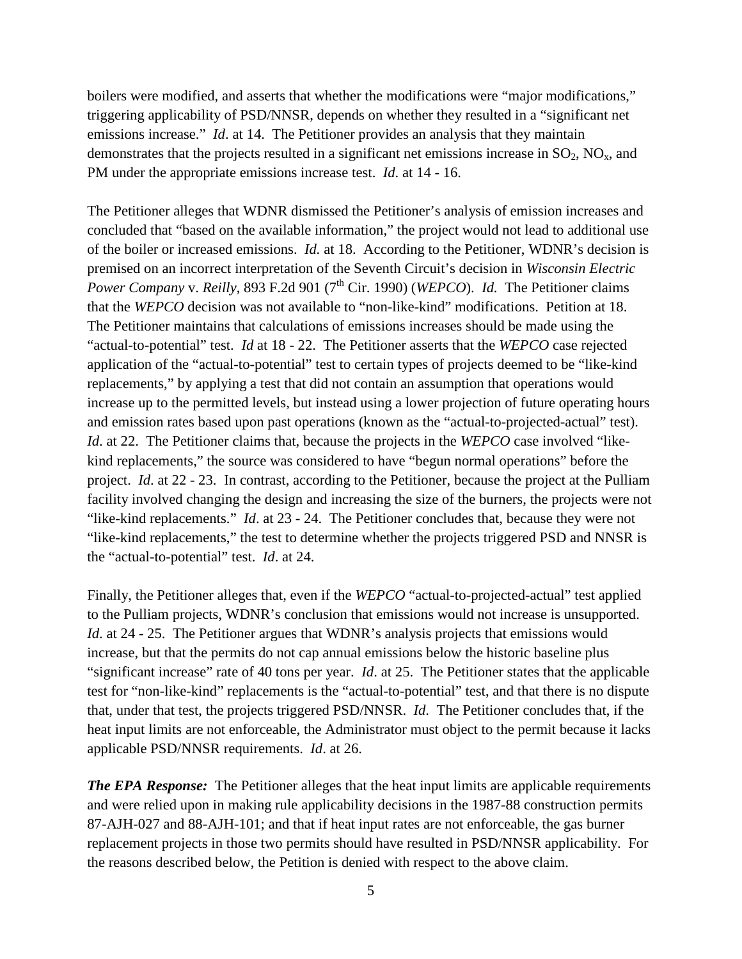boilers were modified, and asserts that whether the modifications were "major modifications," emissions increase." *Id.* at 14. The Petitioner provides an analysis that they maintain PM under the appropriate emissions increase test. *Id*. at 14 - 16. triggering applicability of PSD/NNSR, depends on whether they resulted in a "significant net demonstrates that the projects resulted in a significant net emissions increase in  $SO_2$ ,  $NO<sub>x</sub>$ , and

 of the boiler or increased emissions. *Id.* at 18. According to the Petitioner, WDNR's decision is *Power Company v. Reilly, 893 F.2d 901 (7<sup>th</sup> Cir. 1990) (<i>WEPCO*). *Id.* The Petitioner claims that the WEPCO decision was not available to "non-like-kind" modifications. Petition at 18. "actual-to-potential" test. *Id* at 18 - 22. The Petitioner asserts that the *WEPCO* case rejected and emission rates based upon past operations (known as the "actual-to-projected-actual" test). *Id*. at 22. The Petitioner claims that, because the projects in the *WEPCO* case involved "like- the "actual-to-potential" test. *Id*. at 24. The Petitioner alleges that WDNR dismissed the Petitioner's analysis of emission increases and concluded that "based on the available information," the project would not lead to additional use premised on an incorrect interpretation of the Seventh Circuit's decision in *Wisconsin Electric*  The Petitioner maintains that calculations of emissions increases should be made using the application of the "actual-to-potential" test to certain types of projects deemed to be "like-kind replacements," by applying a test that did not contain an assumption that operations would increase up to the permitted levels, but instead using a lower projection of future operating hours kind replacements," the source was considered to have "begun normal operations" before the project. *Id*. at 22 - 23. In contrast, according to the Petitioner, because the project at the Pulliam facility involved changing the design and increasing the size of the burners, the projects were not "like-kind replacements." *Id*. at 23 - 24. The Petitioner concludes that, because they were not "like-kind replacements," the test to determine whether the projects triggered PSD and NNSR is

 "significant increase" rate of 40 tons per year. *Id*. at 25. The Petitioner states that the applicable test for "non-like-kind" replacements is the "actual-to-potential" test, and that there is no dispute that, under that test, the projects triggered PSD/NNSR. *Id*. The Petitioner concludes that, if the Finally, the Petitioner alleges that, even if the *WEPCO* "actual-to-projected-actual" test applied to the Pulliam projects, WDNR's conclusion that emissions would not increase is unsupported. *Id.* at 24 - 25. The Petitioner argues that WDNR's analysis projects that emissions would increase, but that the permits do not cap annual emissions below the historic baseline plus heat input limits are not enforceable, the Administrator must object to the permit because it lacks applicable PSD/NNSR requirements. *Id*. at 26.

 *The EPA Response:* The Petitioner alleges that the heat input limits are applicable requirements replacement projects in those two permits should have resulted in PSD/NNSR applicability. For and were relied upon in making rule applicability decisions in the 1987-88 construction permits 87-AJH-027 and 88-AJH-101; and that if heat input rates are not enforceable, the gas burner the reasons described below, the Petition is denied with respect to the above claim.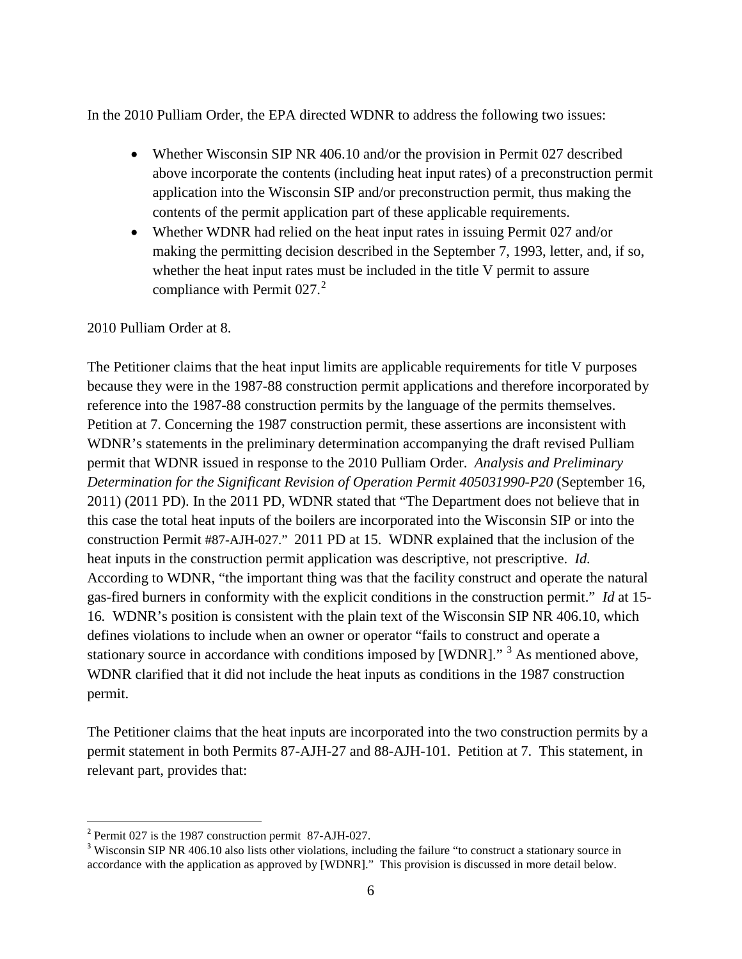In the 2010 Pulliam Order, the EPA directed WDNR to address the following two issues:

- Whether Wisconsin SIP NR 406.10 and/or the provision in Permit 027 described above incorporate the contents (including heat input rates) of a preconstruction permit application into the Wisconsin SIP and/or preconstruction permit, thus making the contents of the permit application part of these applicable requirements.
- Whether WDNR had relied on the heat input rates in issuing Permit 027 and/or making the permitting decision described in the September 7, 1993, letter, and, if so, whether the heat input rates must be included in the title V permit to assure compliance with Permit  $027<sup>2</sup>$  $027<sup>2</sup>$  $027<sup>2</sup>$ .

### 2010 Pulliam Order at 8.

reference into the 1987-88 construction permits by the language of the permits themselves.  permit that WDNR issued in response to the 2010 Pulliam Order. *Analysis and Preliminary*  construction Permit #87-AJH-027." 2011 PD at 15. WDNR explained that the inclusion of the heat inputs in the construction permit application was descriptive, not prescriptive. *Id.*  According to WDNR, "the important thing was that the facility construct and operate the natural gas-fired burners in conformity with the explicit conditions in the construction permit." *Id* at 15 16*.* WDNR's position is consistent with the plain text of the Wisconsin SIP NR 406.10, which stationary source in accordance with conditions imposed by [WDNR]."<sup>[3](#page-5-1)</sup> As mentioned above, The Petitioner claims that the heat input limits are applicable requirements for title V purposes because they were in the 1987-88 construction permit applications and therefore incorporated by Petition at 7. Concerning the 1987 construction permit, these assertions are inconsistent with WDNR's statements in the preliminary determination accompanying the draft revised Pulliam *Determination for the Significant Revision of Operation Permit 405031990-P20* (September 16, 2011) (2011 PD). In the 2011 PD, WDNR stated that "The Department does not believe that in this case the total heat inputs of the boilers are incorporated into the Wisconsin SIP or into the defines violations to include when an owner or operator "fails to construct and operate a WDNR clarified that it did not include the heat inputs as conditions in the 1987 construction permit.

 permit statement in both Permits 87-AJH-27 and 88-AJH-101. Petition at 7. This statement, in relevant part, provides that: The Petitioner claims that the heat inputs are incorporated into the two construction permits by a

l

<span id="page-5-0"></span> $2$  Permit 027 is the 1987 construction permit 87-AJH-027.

<span id="page-5-1"></span><sup>&</sup>lt;sup>3</sup> Wisconsin SIP NR 406.10 also lists other violations, including the failure "to construct a stationary source in accordance with the application as approved by [WDNR]." This provision is discussed in more detail below.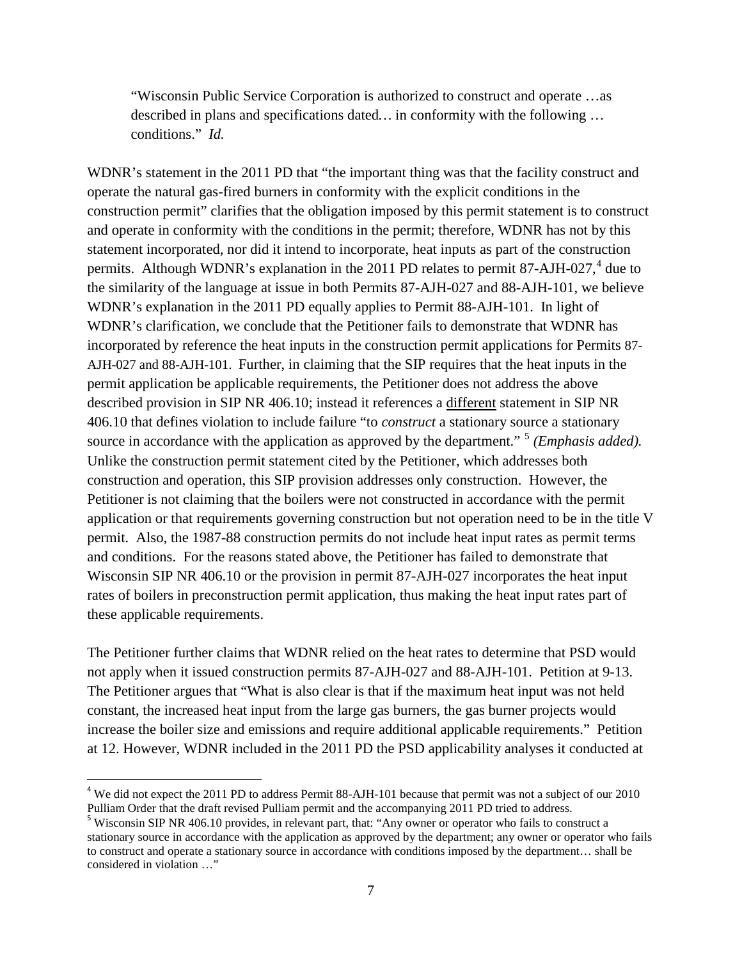conditions." *Id.*  "Wisconsin Public Service Corporation is authorized to construct and operate …as described in plans and specifications dated*…* in conformity with the following …

 construction permit" clarifies that the obligation imposed by this permit statement is to construct statement incorporated, nor did it intend to incorporate, heat inputs as part of the construction WDNR's explanation in the 2011 PD equally applies to Permit 88-AJH-101. In light of WDNR's clarification, we conclude that the Petitioner fails to demonstrate that WDNR has source in accordance with the application as approved by the department."<sup>[5](#page-6-1)</sup> *(Emphasis added)*. permit. Also, the 1987-88 construction permits do not include heat input rates as permit terms Wisconsin SIP NR 406.10 or the provision in permit 87-AJH-027 incorporates the heat input WDNR's statement in the 2011 PD that "the important thing was that the facility construct and operate the natural gas-fired burners in conformity with the explicit conditions in the and operate in conformity with the conditions in the permit; therefore, WDNR has not by this permits. Although WDNR's explanation in the 2011 PD relates to permit 87-AJH-027, $4$  due to the similarity of the language at issue in both Permits 87-AJH-027 and 88-AJH-101, we believe incorporated by reference the heat inputs in the construction permit applications for Permits 87 AJH-027 and 88-AJH-101. Further, in claiming that the SIP requires that the heat inputs in the permit application be applicable requirements, the Petitioner does not address the above described provision in SIP NR 406.10; instead it references a different statement in SIP NR 406.10 that defines violation to include failure "to *construct* a stationary source a stationary Unlike the construction permit statement cited by the Petitioner, which addresses both construction and operation, this SIP provision addresses only construction. However, the Petitioner is not claiming that the boilers were not constructed in accordance with the permit application or that requirements governing construction but not operation need to be in the title V and conditions. For the reasons stated above, the Petitioner has failed to demonstrate that rates of boilers in preconstruction permit application, thus making the heat input rates part of these applicable requirements.

 not apply when it issued construction permits 87-AJH-027 and 88-AJH-101. Petition at 9-13. The Petitioner argues that "What is also clear is that if the maximum heat input was not held The Petitioner further claims that WDNR relied on the heat rates to determine that PSD would constant, the increased heat input from the large gas burners, the gas burner projects would increase the boiler size and emissions and require additional applicable requirements." Petition at 12. However, WDNR included in the 2011 PD the PSD applicability analyses it conducted at

 $\overline{\phantom{0}}$ 

<span id="page-6-0"></span><sup>&</sup>lt;sup>4</sup> We did not expect the 2011 PD to address Permit 88-AJH-101 because that permit was not a subject of our 2010 Pulliam Order that the draft revised Pulliam permit and the accompanying 2011 PD tried to address.

<span id="page-6-1"></span><sup>&</sup>lt;sup>5</sup> Wisconsin SIP NR 406.10 provides, in relevant part, that: "Any owner or operator who fails to construct a stationary source in accordance with the application as approved by the department; any owner or operator who fails to construct and operate a stationary source in accordance with conditions imposed by the department… shall be considered in violation …"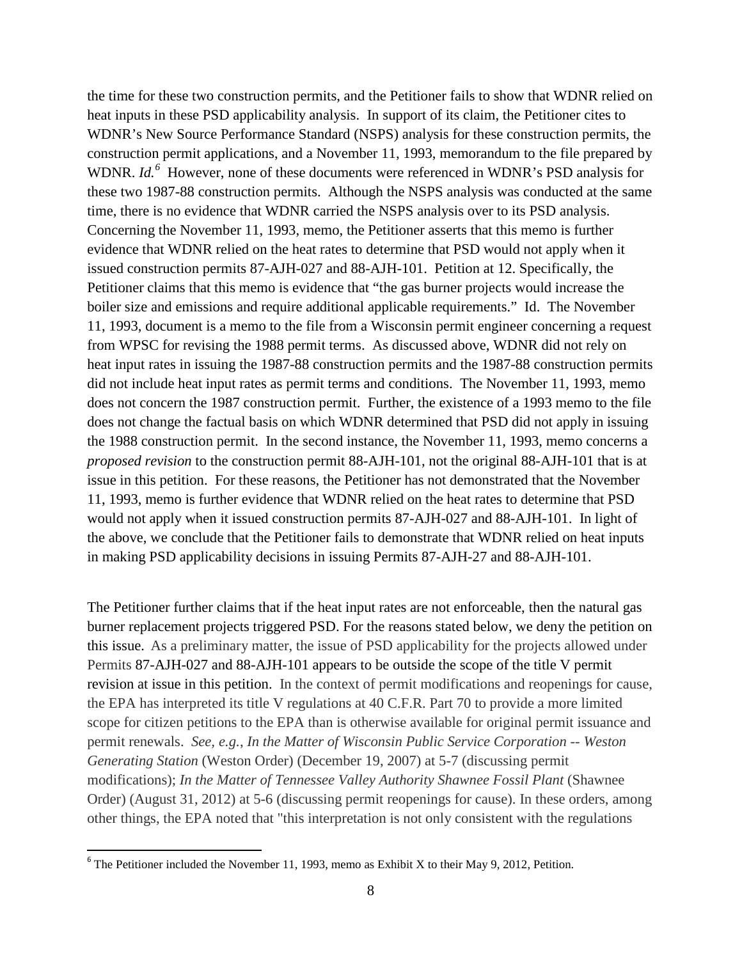heat inputs in these PSD applicability analysis. In support of its claim, the Petitioner cites to WDNR. *Id.*<sup>[6](#page-7-0)</sup> However, none of these documents were referenced in WDNR's PSD analysis for Concerning the November 11, 1993, memo, the Petitioner asserts that this memo is further boiler size and emissions and require additional applicable requirements." Id. The November does not concern the 1987 construction permit. Further, the existence of a 1993 memo to the file would not apply when it issued construction permits 87-AJH-027 and 88-AJH-101. In light of in making PSD applicability decisions in issuing Permits 87-AJH-27 and 88-AJH-101. the time for these two construction permits, and the Petitioner fails to show that WDNR relied on WDNR's New Source Performance Standard (NSPS) analysis for these construction permits, the construction permit applications, and a November 11, 1993, memorandum to the file prepared by these two 1987-88 construction permits. Although the NSPS analysis was conducted at the same time, there is no evidence that WDNR carried the NSPS analysis over to its PSD analysis. evidence that WDNR relied on the heat rates to determine that PSD would not apply when it issued construction permits 87-AJH-027 and 88-AJH-101. Petition at 12. Specifically, the Petitioner claims that this memo is evidence that "the gas burner projects would increase the 11, 1993, document is a memo to the file from a Wisconsin permit engineer concerning a request from WPSC for revising the 1988 permit terms. As discussed above, WDNR did not rely on heat input rates in issuing the 1987-88 construction permits and the 1987-88 construction permits did not include heat input rates as permit terms and conditions. The November 11, 1993, memo does not change the factual basis on which WDNR determined that PSD did not apply in issuing the 1988 construction permit. In the second instance, the November 11, 1993, memo concerns a *proposed revision* to the construction permit 88-AJH-101, not the original 88-AJH-101 that is at issue in this petition. For these reasons, the Petitioner has not demonstrated that the November 11, 1993, memo is further evidence that WDNR relied on the heat rates to determine that PSD the above, we conclude that the Petitioner fails to demonstrate that WDNR relied on heat inputs

 in making PSD applicability decisions in issuing Permits 87-AJH-27 and 88-AJH-101. The Petitioner further claims that if the heat input rates are not enforceable, then the natural gas this issue. As a preliminary matter, the issue of PSD applicability for the projects allowed under revision at issue in this petition. In the context of permit modifications and reopenings for cause, permit renewals. *See, e.g.*, *In the Matter of Wisconsin Public Service Corporation -- Weston Generating Station* (Weston Order) (December 19, 2007) at 5-7 (discussing permit  modifications); *In the Matter of Tennessee Valley Authority Shawnee Fossil Plant* (Shawnee Order) (August 31, 2012) at 5-6 (discussing permit reopenings for cause). In these orders, among burner replacement projects triggered PSD. For the reasons stated below, we deny the petition on Permits 87-AJH-027 and 88-AJH-101 appears to be outside the scope of the title V permit the EPA has interpreted its title V regulations at 40 C.F.R. Part 70 to provide a more limited scope for citizen petitions to the EPA than is otherwise available for original permit issuance and other things, the EPA noted that "this interpretation is not only consistent with the regulations

<span id="page-7-0"></span><sup>&</sup>lt;sup>6</sup> The Petitioner included the November 11, 1993, memo as Exhibit X to their May 9, 2012, Petition. 8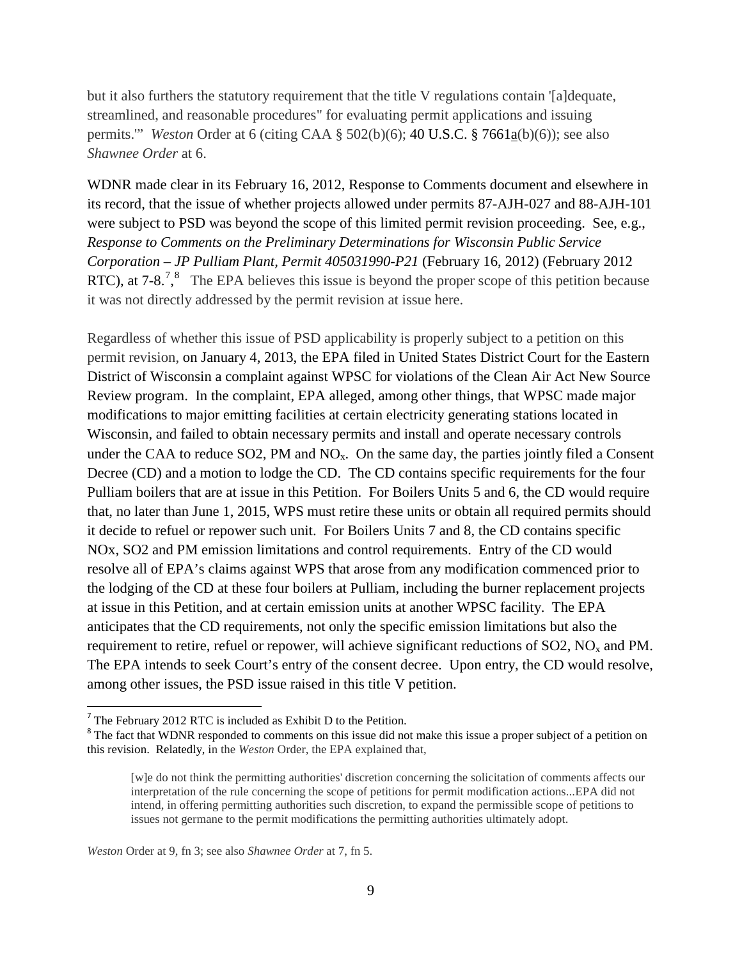permits."" *Weston* Order at 6 (citing CAA § 502(b)(6); 40 U.S.C. § 7661<u>a</u>(b)(6)); see also *Shawnee Order* at 6. but it also furthers the statutory requirement that the title V regulations contain '[a]dequate, streamlined, and reasonable procedures" for evaluating permit applications and issuing

 were subject to PSD was beyond the scope of this limited permit revision proceeding. See, e.g.,  *Response to Comments on the Preliminary Determinations for Wisconsin Public Service*  RTC), at [7](#page-8-0)-[8](#page-8-1).<sup>7</sup>,<sup>8</sup> The EPA believes this issue is beyond the proper scope of this petition because WDNR made clear in its February 16, 2012, Response to Comments document and elsewhere in its record, that the issue of whether projects allowed under permits 87-AJH-027 and 88-AJH-101 *Corporation – JP Pulliam Plant, Permit 405031990-P21* (February 16, 2012) (February 2012 it was not directly addressed by the permit revision at issue here.

 Review program. In the complaint, EPA alleged, among other things, that WPSC made major under the CAA to reduce SO2, PM and  $NO<sub>x</sub>$ . On the same day, the parties jointly filed a Consent NOx, SO2 and PM emission limitations and control requirements. Entry of the CD would at issue in this Petition, and at certain emission units at another WPSC facility. The EPA anticipates that the CD requirements, not only the specific emission limitations but also the Regardless of whether this issue of PSD applicability is properly subject to a petition on this permit revision, on January 4, 2013, the EPA filed in United States District Court for the Eastern District of Wisconsin a complaint against WPSC for violations of the Clean Air Act New Source modifications to major emitting facilities at certain electricity generating stations located in Wisconsin, and failed to obtain necessary permits and install and operate necessary controls Decree (CD) and a motion to lodge the CD. The CD contains specific requirements for the four Pulliam boilers that are at issue in this Petition. For Boilers Units 5 and 6, the CD would require that, no later than June 1, 2015, WPS must retire these units or obtain all required permits should it decide to refuel or repower such unit. For Boilers Units 7 and 8, the CD contains specific resolve all of EPA's claims against WPS that arose from any modification commenced prior to the lodging of the CD at these four boilers at Pulliam, including the burner replacement projects requirement to retire, refuel or repower, will achieve significant reductions of  $SO2$ ,  $NO<sub>x</sub>$  and PM. The EPA intends to seek Court's entry of the consent decree. Upon entry, the CD would resolve, among other issues, the PSD issue raised in this title V petition.

<span id="page-8-0"></span><sup>7</sup>The February 2012 RTC is included as Exhibit D to the Petition.

<span id="page-8-1"></span> this revision. Relatedly, in the *Weston* Order, the EPA explained that, <sup>8</sup> The fact that WDNR responded to comments on this issue did not make this issue a proper subject of a petition on

 issues not germane to the permit modifications the permitting authorities ultimately adopt. [w]e do not think the permitting authorities' discretion concerning the solicitation of comments affects our interpretation of the rule concerning the scope of petitions for permit modification actions...EPA did not intend, in offering permitting authorities such discretion, to expand the permissible scope of petitions to

 *Weston* Order at 9, fn 3; see also *Shawnee Order* at 7, fn 5.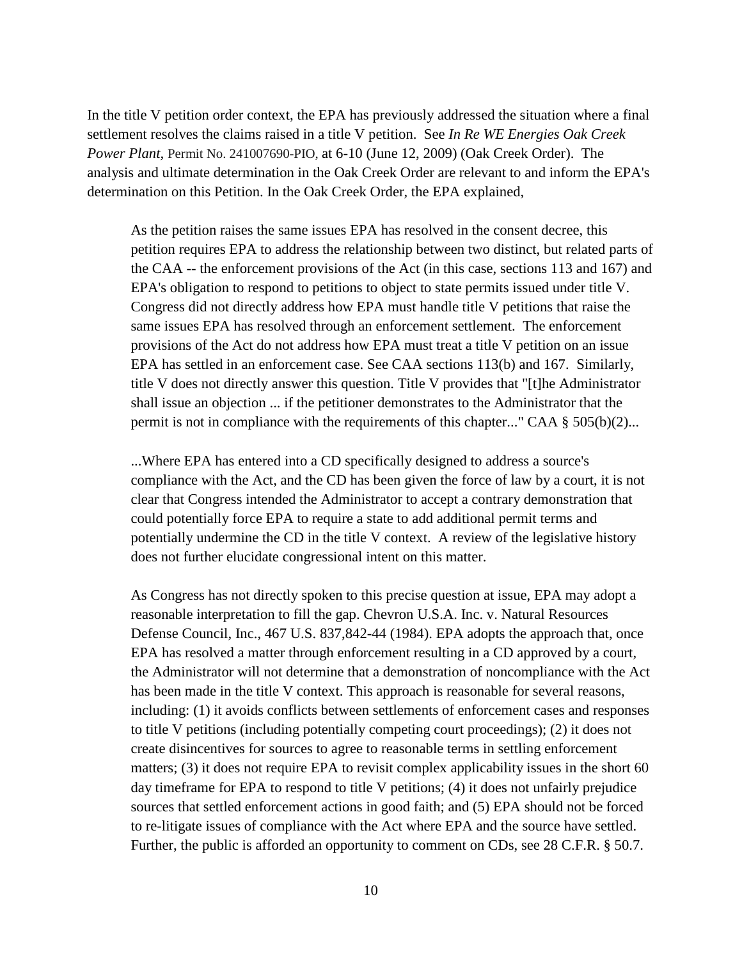In the title V petition order context, the EPA has previously addressed the situation where a final determination on this Petition. In the Oak Creek Order, the EPA explained, settlement resolves the claims raised in a title V petition. See *In Re WE Energies Oak Creek Power Plant,* Permit No. 241007690-PIO, at 6-10 (June 12, 2009) (Oak Creek Order). The analysis and ultimate determination in the Oak Creek Order are relevant to and inform the EPA's

 the CAA -- the enforcement provisions of the Act (in this case, sections 113 and 167) and EPA has settled in an enforcement case. See CAA sections 113(b) and 167. Similarly, As the petition raises the same issues EPA has resolved in the consent decree, this petition requires EPA to address the relationship between two distinct, but related parts of EPA's obligation to respond to petitions to object to state permits issued under title V. Congress did not directly address how EPA must handle title V petitions that raise the same issues EPA has resolved through an enforcement settlement. The enforcement provisions of the Act do not address how EPA must treat a title V petition on an issue title V does not directly answer this question. Title V provides that "[t]he Administrator shall issue an objection ... if the petitioner demonstrates to the Administrator that the permit is not in compliance with the requirements of this chapter..." CAA  $\S$  505(b)(2)...

 ...Where EPA has entered into a CD specifically designed to address a source's compliance with the Act, and the CD has been given the force of law by a court, it is not clear that Congress intended the Administrator to accept a contrary demonstration that could potentially force EPA to require a state to add additional permit terms and potentially undermine the CD in the title V context. A review of the legislative history does not further elucidate congressional intent on this matter.

 As Congress has not directly spoken to this precise question at issue, EPA may adopt a reasonable interpretation to fill the gap. Chevron U.S.A. Inc. v. Natural Resources Defense Council, Inc., 467 U.S. 837,842-44 (1984). EPA adopts the approach that, once EPA has resolved a matter through enforcement resulting in a CD approved by a court, the Administrator will not determine that a demonstration of noncompliance with the Act has been made in the title V context. This approach is reasonable for several reasons, including: (1) it avoids conflicts between settlements of enforcement cases and responses to title V petitions (including potentially competing court proceedings); (2) it does not create disincentives for sources to agree to reasonable terms in settling enforcement matters; (3) it does not require EPA to revisit complex applicability issues in the short 60 day timeframe for EPA to respond to title V petitions; (4) it does not unfairly prejudice sources that settled enforcement actions in good faith; and (5) EPA should not be forced to re-litigate issues of compliance with the Act where EPA and the source have settled. Further, the public is afforded an opportunity to comment on CDs, see 28 C.F.R. § 50.7.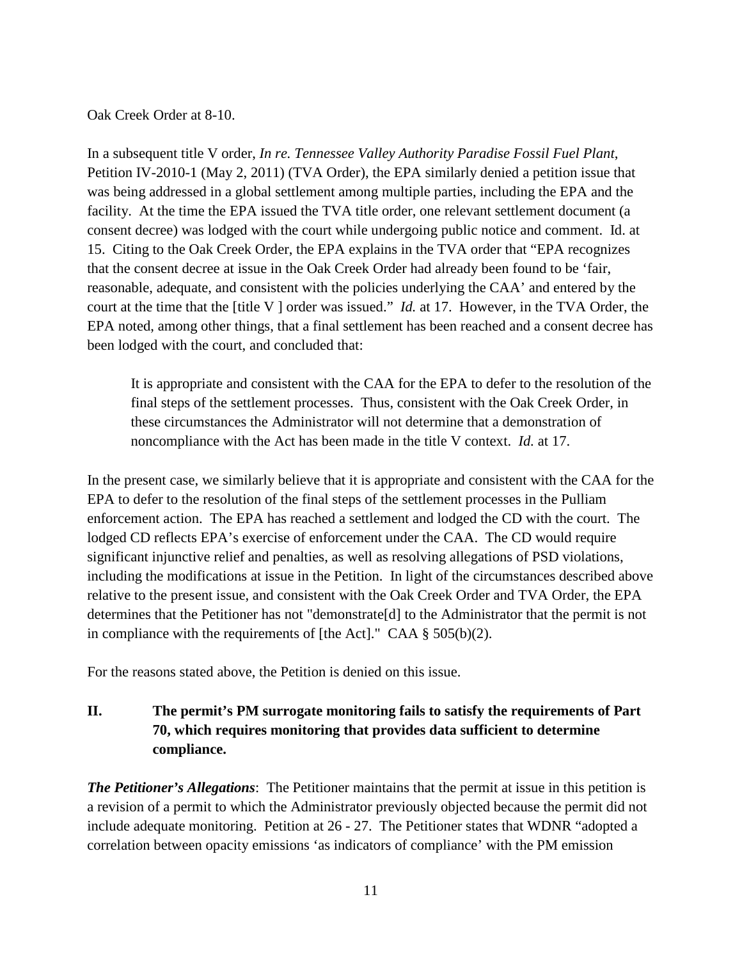Oak Creek Order at 8-10.

 was being addressed in a global settlement among multiple parties, including the EPA and the court at the time that the [title V ] order was issued." *Id.* at 17. However, in the TVA Order, the In a subsequent title V order, *In re. Tennessee Valley Authority Paradise Fossil Fuel Plant*, Petition IV-2010-1 (May 2, 2011) (TVA Order), the EPA similarly denied a petition issue that facility. At the time the EPA issued the TVA title order, one relevant settlement document (a consent decree) was lodged with the court while undergoing public notice and comment. Id. at 15. Citing to the Oak Creek Order, the EPA explains in the TVA order that "EPA recognizes that the consent decree at issue in the Oak Creek Order had already been found to be 'fair, reasonable, adequate, and consistent with the policies underlying the CAA' and entered by the EPA noted, among other things, that a final settlement has been reached and a consent decree has been lodged with the court, and concluded that:

 noncompliance with the Act has been made in the title V context. *Id.* at 17. It is appropriate and consistent with the CAA for the EPA to defer to the resolution of the final steps of the settlement processes. Thus, consistent with the Oak Creek Order, in these circumstances the Administrator will not determine that a demonstration of

 enforcement action. The EPA has reached a settlement and lodged the CD with the court. The including the modifications at issue in the Petition. In light of the circumstances described above in compliance with the requirements of [the Act]." CAA § 505(b)(2). In the present case, we similarly believe that it is appropriate and consistent with the CAA for the EPA to defer to the resolution of the final steps of the settlement processes in the Pulliam lodged CD reflects EPA's exercise of enforcement under the CAA. The CD would require significant injunctive relief and penalties, as well as resolving allegations of PSD violations, relative to the present issue, and consistent with the Oak Creek Order and TVA Order, the EPA determines that the Petitioner has not "demonstrate[d] to the Administrator that the permit is not

For the reasons stated above, the Petition is denied on this issue.

# **II. The permit's PM surrogate monitoring fails to satisfy the requirements of Part 70, which requires monitoring that provides data sufficient to determine compliance.**

 *The Petitioner's Allegations*: The Petitioner maintains that the permit at issue in this petition is a revision of a permit to which the Administrator previously objected because the permit did not include adequate monitoring. Petition at 26 - 27. The Petitioner states that WDNR "adopted a correlation between opacity emissions 'as indicators of compliance' with the PM emission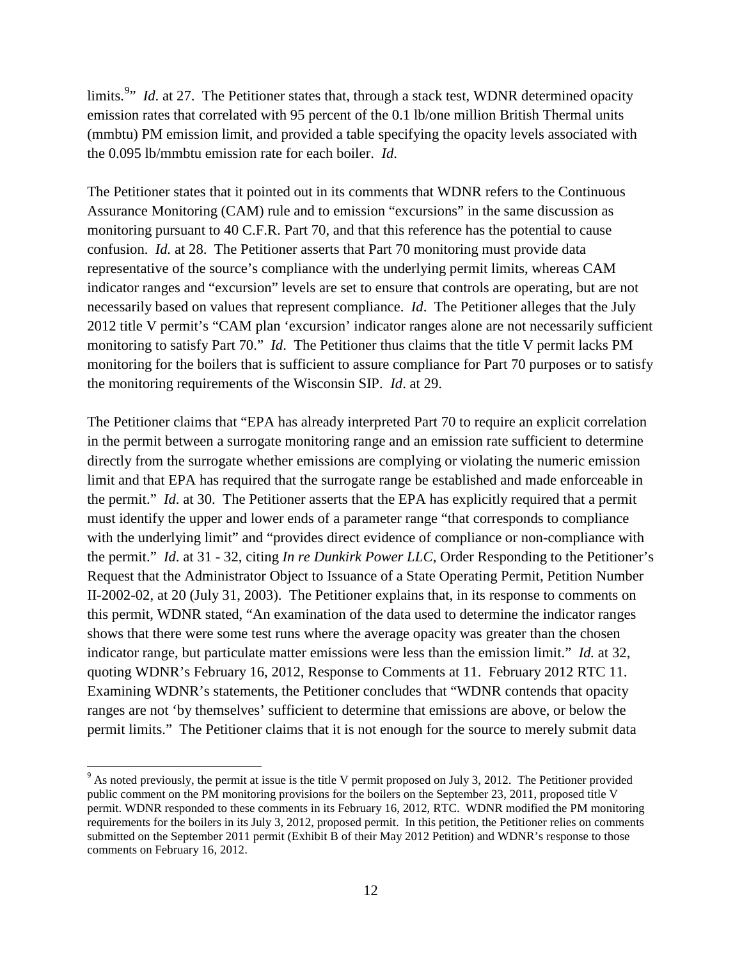emission rates that correlated with 95 percent of the 0.1 lb/one million British Thermal units the 0.095 lb/mmbtu emission rate for each boiler. *Id*. limits.<sup>[9](#page-11-0)</sup>" *Id.* at 27. The Petitioner states that, through a stack test, WDNR determined opacity (mmbtu) PM emission limit, and provided a table specifying the opacity levels associated with

 necessarily based on values that represent compliance. *Id*. The Petitioner alleges that the July monitoring to satisfy Part 70." *Id*. The Petitioner thus claims that the title V permit lacks PM the monitoring requirements of the Wisconsin SIP. *Id*. at 29. The Petitioner states that it pointed out in its comments that WDNR refers to the Continuous Assurance Monitoring (CAM) rule and to emission "excursions" in the same discussion as monitoring pursuant to 40 C.F.R. Part 70, and that this reference has the potential to cause confusion. *Id.* at 28. The Petitioner asserts that Part 70 monitoring must provide data representative of the source's compliance with the underlying permit limits, whereas CAM indicator ranges and "excursion" levels are set to ensure that controls are operating, but are not 2012 title V permit's "CAM plan 'excursion' indicator ranges alone are not necessarily sufficient monitoring for the boilers that is sufficient to assure compliance for Part 70 purposes or to satisfy

 the permit." *Id*. at 30. The Petitioner asserts that the EPA has explicitly required that a permit with the underlying limit" and "provides direct evidence of compliance or non-compliance with the permit." *Id*. at 31 - 32, citing *In re Dunkirk Power LLC*, Order Responding to the Petitioner's Request that the Administrator Object to Issuance of a State Operating Permit, Petition Number indicator range, but particulate matter emissions were less than the emission limit." *Id.* at 32, The Petitioner claims that "EPA has already interpreted Part 70 to require an explicit correlation in the permit between a surrogate monitoring range and an emission rate sufficient to determine directly from the surrogate whether emissions are complying or violating the numeric emission limit and that EPA has required that the surrogate range be established and made enforceable in must identify the upper and lower ends of a parameter range "that corresponds to compliance II-2002-02, at 20 (July 31, 2003). The Petitioner explains that, in its response to comments on this permit, WDNR stated, "An examination of the data used to determine the indicator ranges shows that there were some test runs where the average opacity was greater than the chosen quoting WDNR's February 16, 2012, Response to Comments at 11. February 2012 RTC 11. Examining WDNR's statements, the Petitioner concludes that "WDNR contends that opacity ranges are not 'by themselves' sufficient to determine that emissions are above, or below the permit limits." The Petitioner claims that it is not enough for the source to merely submit data

<span id="page-11-0"></span> $9<sup>9</sup>$  As noted previously, the permit at issue is the title V permit proposed on July 3, 2012. The Petitioner provided permit. WDNR responded to these comments in its February 16, 2012, RTC. WDNR modified the PM monitoring requirements for the boilers in its July 3, 2012, proposed permit. In this petition, the Petitioner relies on comments public comment on the PM monitoring provisions for the boilers on the September 23, 2011, proposed title V submitted on the September 2011 permit (Exhibit B of their May 2012 Petition) and WDNR's response to those comments on February 16, 2012.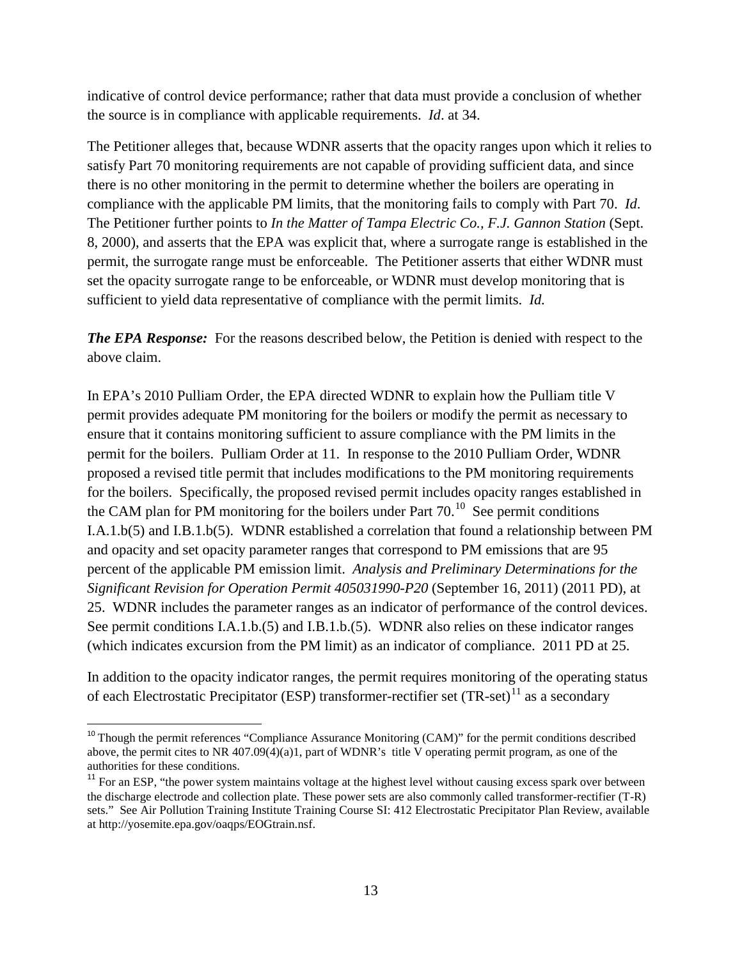the source is in compliance with applicable requirements. *Id*. at 34. indicative of control device performance; rather that data must provide a conclusion of whether

 compliance with the applicable PM limits, that the monitoring fails to comply with Part 70. *Id*. permit, the surrogate range must be enforceable. The Petitioner asserts that either WDNR must set the opacity surrogate range to be enforceable, or WDNR must develop monitoring that is sufficient to yield data representative of compliance with the permit limits. *Id.*  The Petitioner alleges that, because WDNR asserts that the opacity ranges upon which it relies to satisfy Part 70 monitoring requirements are not capable of providing sufficient data, and since there is no other monitoring in the permit to determine whether the boilers are operating in The Petitioner further points to *In the Matter of Tampa Electric Co., F.J. Gannon Station* (Sept. 8, 2000), and asserts that the EPA was explicit that, where a surrogate range is established in the

*The EPA Response:* For the reasons described below, the Petition is denied with respect to the above claim.

 ensure that it contains monitoring sufficient to assure compliance with the PM limits in the the CAM plan for PM monitoring for the boilers under Part  $70.^{10}$  $70.^{10}$  $70.^{10}$  See permit conditions percent of the applicable PM emission limit. *Analysis and Preliminary Determinations for the*  25. WDNR includes the parameter ranges as an indicator of performance of the control devices. In EPA's 2010 Pulliam Order, the EPA directed WDNR to explain how the Pulliam title V permit provides adequate PM monitoring for the boilers or modify the permit as necessary to permit for the boilers. Pulliam Order at 11. In response to the 2010 Pulliam Order, WDNR proposed a revised title permit that includes modifications to the PM monitoring requirements for the boilers. Specifically, the proposed revised permit includes opacity ranges established in I.A.1.b(5) and I.B.1.b(5). WDNR established a correlation that found a relationship between PM and opacity and set opacity parameter ranges that correspond to PM emissions that are 95 *Significant Revision for Operation Permit 405031990-P20* (September 16, 2011) (2011 PD), at See permit conditions I.A.1.b.(5) and I.B.1.b.(5). WDNR also relies on these indicator ranges (which indicates excursion from the PM limit) as an indicator of compliance. 2011 PD at 25.

of each Electrostatic Precipitator (ESP) transformer-rectifier set  $(TR-set)^{11}$  $(TR-set)^{11}$  $(TR-set)^{11}$  as a secondary In addition to the opacity indicator ranges, the permit requires monitoring of the operating status

l

<span id="page-12-0"></span>authorities for these conditions. <sup>10</sup> Though the permit references "Compliance Assurance Monitoring (CAM)" for the permit conditions described above, the permit cites to NR 407.09(4)(a)1, part of WDNR's title V operating permit program, as one of the

<span id="page-12-1"></span> sets." See Air Pollution Training Institute Training Course SI: 412 Electrostatic Precipitator Plan Review, available  $11$  For an ESP, "the power system maintains voltage at the highest level without causing excess spark over between the discharge electrode and collection plate. These power sets are also commonly called transformer-rectifier (T-R) at http://yosemite.epa.gov/oaqps/EOGtrain.nsf.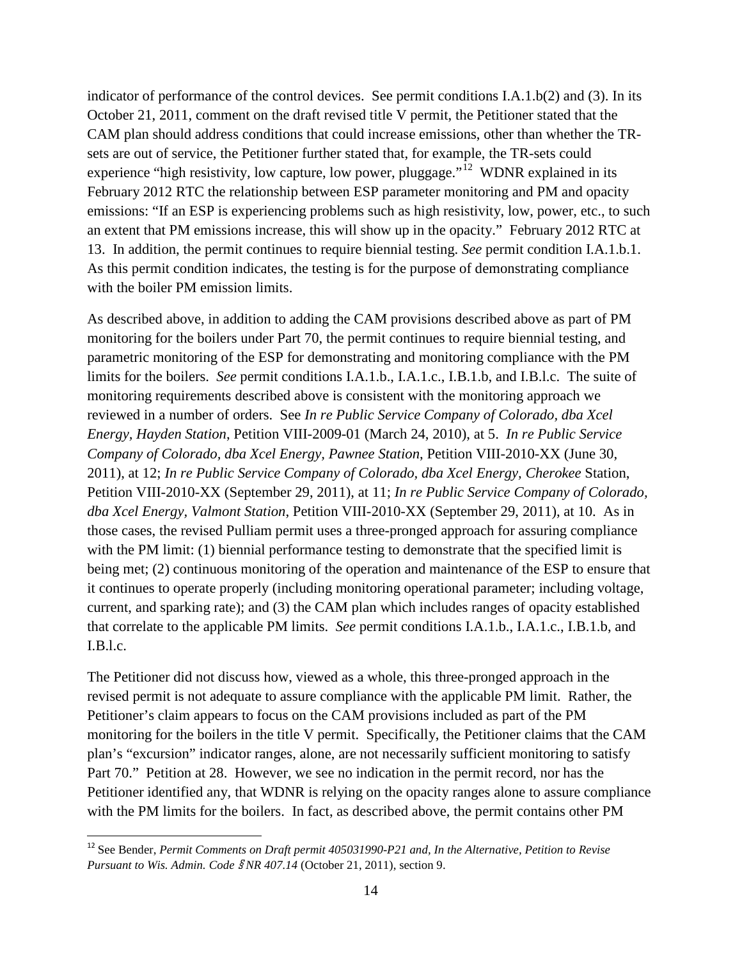experience "high resistivity, low capture, low power, pluggage."<sup>[12](#page-13-0)</sup> WDNR explained in its an extent that PM emissions increase, this will show up in the opacity." February 2012 RTC at 13. In addition, the permit continues to require biennial testing. *See* permit condition I.A.1.b.1. As this permit condition indicates, the testing is for the purpose of demonstrating compliance indicator of performance of the control devices. See permit conditions I.A.1.b(2) and (3). In its October 21, 2011, comment on the draft revised title V permit, the Petitioner stated that the CAM plan should address conditions that could increase emissions, other than whether the TRsets are out of service, the Petitioner further stated that, for example, the TR-sets could February 2012 RTC the relationship between ESP parameter monitoring and PM and opacity emissions: "If an ESP is experiencing problems such as high resistivity, low, power, etc., to such with the boiler PM emission limits.

 monitoring for the boilers under Part 70, the permit continues to require biennial testing, and limits for the boilers. *See* permit conditions I.A.1.b., I.A.1.c., I.B.1.b, and I.B.l.c. The suite of reviewed in a number of orders. See *In re Public Service Company of Colorado, dba Xcel Company of Colorado, dba Xcel Energy, Pawnee Station*, Petition VIII-2010-XX (June 30,  2011), at 12; *In re Public Service Company of Colorado, dba Xcel Energy, Cherokee* Station, Petition VIII-2010-XX (September 29, 2011), at 11; *In re Public Service Company of Colorado,*  with the PM limit: (1) biennial performance testing to demonstrate that the specified limit is being met; (2) continuous monitoring of the operation and maintenance of the ESP to ensure that current, and sparking rate); and (3) the CAM plan which includes ranges of opacity established that correlate to the applicable PM limits. *See* permit conditions I.A.1.b., I.A.1.c., I.B.1.b, and  $I.B.l.c.$ As described above, in addition to adding the CAM provisions described above as part of PM parametric monitoring of the ESP for demonstrating and monitoring compliance with the PM monitoring requirements described above is consistent with the monitoring approach we *Energy, Hayden Station*, Petition VIII-2009-01 (March 24, 2010), at 5. *In re Public Service dba Xcel Energy, Valmont Station*, Petition VIII-2010-XX (September 29, 2011), at 10. As in those cases, the revised Pulliam permit uses a three-pronged approach for assuring compliance it continues to operate properly (including monitoring operational parameter; including voltage,

 revised permit is not adequate to assure compliance with the applicable PM limit. Rather, the Petitioner's claim appears to focus on the CAM provisions included as part of the PM The Petitioner did not discuss how, viewed as a whole, this three-pronged approach in the monitoring for the boilers in the title V permit. Specifically, the Petitioner claims that the CAM plan's "excursion" indicator ranges, alone, are not necessarily sufficient monitoring to satisfy Part 70." Petition at 28. However, we see no indication in the permit record, nor has the Petitioner identified any, that WDNR is relying on the opacity ranges alone to assure compliance with the PM limits for the boilers. In fact, as described above, the permit contains other PM

<span id="page-13-0"></span> *Pursuant to Wis. Admin. Code* § *NR 407.14* (October 21, 2011), section 9. <sup>12</sup> See Bender, *Permit Comments on Draft permit 405031990-P21 and, In the Alternative, Petition to Revise*